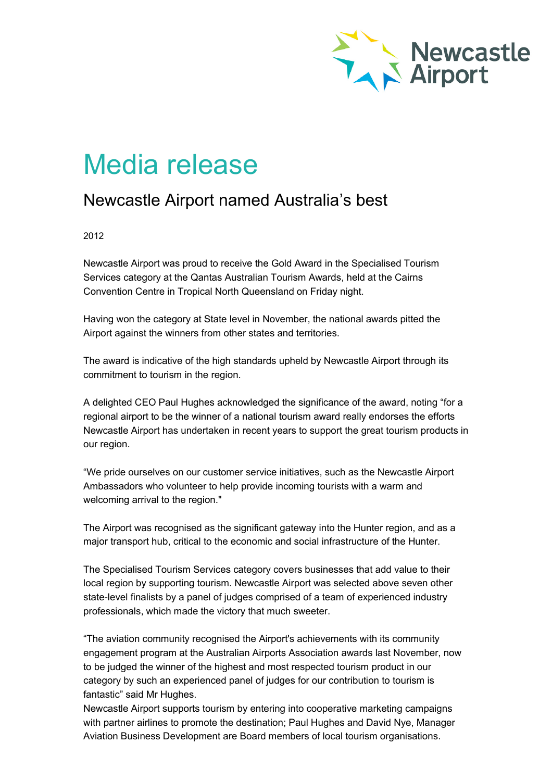

# Media release

# Newcastle Airport named Australia's best

## 2012

Newcastle Airport was proud to receive the Gold Award in the Specialised Tourism Services category at the Qantas Australian Tourism Awards, held at the Cairns Convention Centre in Tropical North Queensland on Friday night.

Having won the category at State level in November, the national awards pitted the Airport against the winners from other states and territories.

The award is indicative of the high standards upheld by Newcastle Airport through its commitment to tourism in the region.

A delighted CEO Paul Hughes acknowledged the significance of the award, noting "for a regional airport to be the winner of a national tourism award really endorses the efforts Newcastle Airport has undertaken in recent years to support the great tourism products in our region.

"We pride ourselves on our customer service initiatives, such as the Newcastle Airport Ambassadors who volunteer to help provide incoming tourists with a warm and welcoming arrival to the region."

The Airport was recognised as the significant gateway into the Hunter region, and as a major transport hub, critical to the economic and social infrastructure of the Hunter.

The Specialised Tourism Services category covers businesses that add value to their local region by supporting tourism. Newcastle Airport was selected above seven other state-level finalists by a panel of judges comprised of a team of experienced industry professionals, which made the victory that much sweeter.

"The aviation community recognised the Airport's achievements with its community engagement program at the Australian Airports Association awards last November, now to be judged the winner of the highest and most respected tourism product in our category by such an experienced panel of judges for our contribution to tourism is fantastic" said Mr Hughes.

Newcastle Airport supports tourism by entering into cooperative marketing campaigns with partner airlines to promote the destination; Paul Hughes and David Nye, Manager Aviation Business Development are Board members of local tourism organisations.